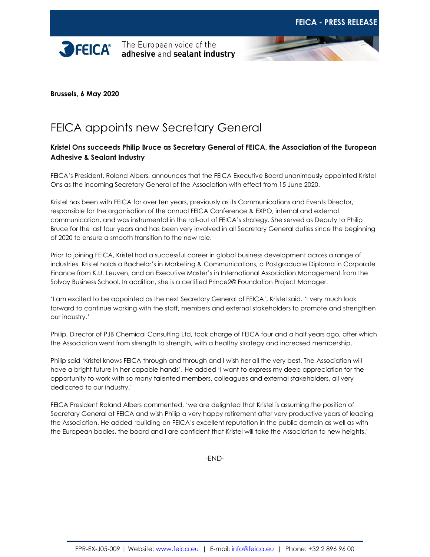



**Brussels, 6 May 2020**

## FEICA appoints new Secretary General

## **Kristel Ons succeeds Philip Bruce as Secretary General of FEICA, the Association of the European Adhesive & Sealant Industry**

FEICA's President, Roland Albers, announces that the FEICA Executive Board unanimously appointed Kristel Ons as the incoming Secretary General of the Association with effect from 15 June 2020.

Kristel has been with FEICA for over ten years, previously as its Communications and Events Director, responsible for the organisation of the annual FEICA Conference & EXPO, internal and external communication, and was instrumental in the roll-out of FEICA's strategy. She served as Deputy to Philip Bruce for the last four years and has been very involved in all Secretary General duties since the beginning of 2020 to ensure a smooth transition to the new role.

Prior to joining FEICA, Kristel had a successful career in global business development across a range of industries. Kristel holds a Bachelor's in Marketing & Communications, a Postgraduate Diploma in Corporate Finance from K.U. Leuven, and an Executive Master's in International Association Management from the Solvay Business School. In addition, she is a certified Prince2© Foundation Project Manager.

'I am excited to be appointed as the next Secretary General of FEICA', Kristel said. 'I very much look forward to continue working with the staff, members and external stakeholders to promote and strengthen our industry.'

Philip, Director of PJB Chemical Consulting Ltd, took charge of FEICA four and a half years ago, after which the Association went from strength to strength, with a healthy strategy and increased membership.

Philip said 'Kristel knows FEICA through and through and I wish her all the very best. The Association will have a bright future in her capable hands'. He added 'I want to express my deep appreciation for the opportunity to work with so many talented members, colleagues and external stakeholders, all very dedicated to our industry.'

FEICA President Roland Albers commented, 'we are delighted that Kristel is assuming the position of Secretary General at FEICA and wish Philip a very happy retirement after very productive years of leading the Association. He added 'building on FEICA's excellent reputation in the public domain as well as with the European bodies, the board and I are confident that Kristel will take the Association to new heights.'

-END-